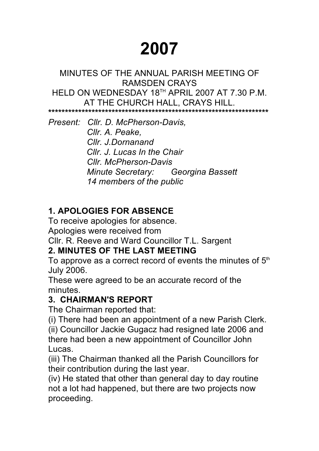# **2007**

#### MINUTES OF THE ANNUAL PARISH MEETING OF RAMSDEN CRAYS HELD ON WEDNESDAY 18TH APRIL 2007 AT 7.30 P.M. AT THE CHURCH HALL, CRAYS HILL. **\*\*\*\*\*\*\*\*\*\*\*\*\*\*\*\*\*\*\*\*\*\*\*\*\*\*\*\*\*\*\*\*\*\*\*\*\*\*\*\*\*\*\*\*\*\*\*\*\*\*\*\*\*\*\*\*\*\*\*\*\*\*\*\*\*\***

*Present: Cllr. D. McPherson-Davis, Cllr. A. Peake, Cllr. J.Dornanand Cllr. J. Lucas In the Chair Cllr. McPherson-Davis Minute Secretary: Georgina Bassett 14 members of the public*

# **1. APOLOGIES FOR ABSENCE**

To receive apologies for absence. Apologies were received from Cllr. R. Reeve and Ward Councillor T.L. Sargent

## **2. MINUTES OF THE LAST MEETING**

To approve as a correct record of events the minutes of  $5<sup>th</sup>$ July 2006.

These were agreed to be an accurate record of the minutes.

### **3. CHAIRMAN'S REPORT**

The Chairman reported that:

(i) There had been an appointment of a new Parish Clerk.

(ii) Councillor Jackie Gugacz had resigned late 2006 and there had been a new appointment of Councillor John Lucas.

(iii) The Chairman thanked all the Parish Councillors for their contribution during the last year.

(iv) He stated that other than general day to day routine not a lot had happened, but there are two projects now proceeding.